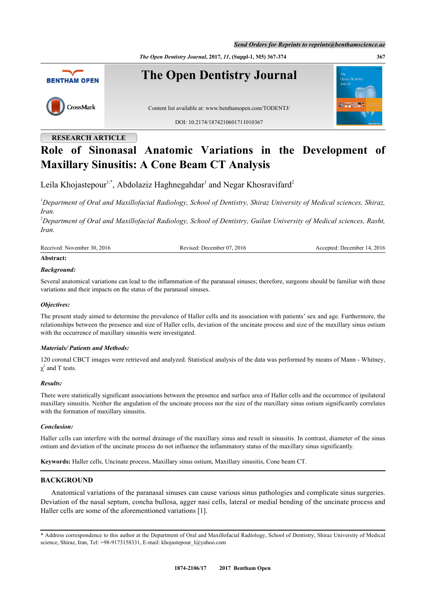*The Open Dentistry Journal***, 2017,** *11***, (Suppl-1, M5) 367-374 367**



**RESEARCH ARTICLE**

# **Role of Sinonasal Anatomic Variations in the Development of Maxillary Sinusitis: A Cone Beam CT Analysis**

Leila Khojastepour<sup>[1](#page-0-0),\*</sup>, Abdolaziz Haghnegahdar<sup>1</sup> and Negar Khosravifard<sup>[2](#page-0-1)</sup>

<span id="page-0-0"></span>*<sup>1</sup>Department of Oral and Maxillofacial Radiology, School of Dentistry, Shiraz University of Medical sciences, Shiraz, Iran.*

<span id="page-0-1"></span>*<sup>2</sup>Department of Oral and Maxillofacial Radiology, School of Dentistry, Guilan University of Medical sciences, Rasht, Iran.*

| Received: November 30, 2016 | Revised: December 07, 2016 | Accepted: December 14, 2016 |
|-----------------------------|----------------------------|-----------------------------|
|                             |                            |                             |

## **Abstract:**

## *Background:*

Several anatomical variations can lead to the inflammation of the paranasal sinuses; therefore, surgeons should be familiar with these variations and their impacts on the status of the paranasal sinuses.

## *Objectives:*

The present study aimed to determine the prevalence of Haller cells and its association with patients' sex and age. Furthermore, the relationships between the presence and size of Haller cells, deviation of the uncinate process and size of the maxillary sinus ostium with the occurrence of maxillary sinusitis were investigated.

## *Materials/ Patients and Methods:*

120 coronal CBCT images were retrieved and analyzed. Statistical analysis of the data was performed by means of Mann - Whitney,  $\chi^2$  and T tests.

## *Results:*

There were statistically significant associations between the presence and surface area of Haller cells and the occurrence of ipsilateral maxillary sinusitis. Neither the angulation of the uncinate process nor the size of the maxillary sinus ostium significantly correlates with the formation of maxillary sinusitis.

## *Conclusion:*

Haller cells can interfere with the normal drainage of the maxillary sinus and result in sinusitis. In contrast, diameter of the sinus ostium and deviation of the uncinate process do not influence the inflammatory status of the maxillary sinus significantly.

**Keywords:** Haller cells, Uncinate process, Maxillary sinus ostium, Maxillary sinusitis, Cone beam CT.

# **BACKGROUND**

Anatomical variations of the paranasal sinuses can cause various sinus pathologies and complicate sinus surgeries. Deviation of the nasal septum, concha bullosa, agger nasi cells, lateral or medial bending of the uncinate process and Haller cells are some of the aforementioned variations [\[1](#page-5-0)].

<sup>\*</sup> Address correspondence to this author at the Department of Oral and Maxillofacial Radiology, School of Dentistry, Shiraz University of Medical science, Shiraz, Iran, Tel: +98-9173158331, E-mail: khojastepour l@yahoo.com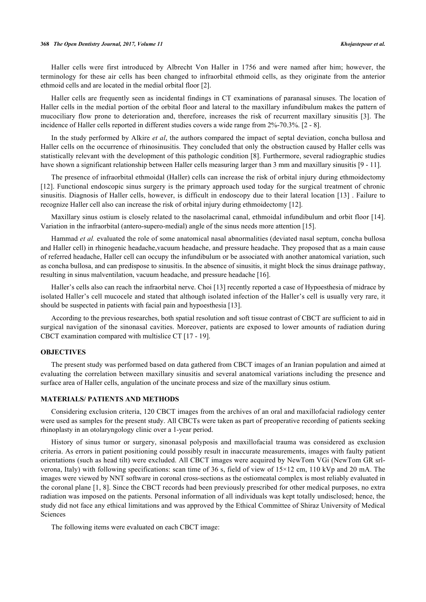#### **368** *The Open Dentistry Journal, 2017, Volume 11 Khojastepour et al.*

Haller cells were first introduced by Albrecht Von Haller in 1756 and were named after him; however, the terminology for these air cells has been changed to infraorbital ethmoid cells, as they originate from the anterior ethmoid cells and are located in the medial orbital floor [\[2](#page-5-1)].

Haller cells are frequently seen as incidental findings in CT examinations of paranasal sinuses. The location of Haller cells in the medial portion of the orbital floor and lateral to the maxillary infundibulum makes the pattern of mucociliary flow prone to deterioration and, therefore, increases the risk of recurrent maxillary sinusitis[[3\]](#page-5-2). The incidence of Haller cells reported in different studies covers a wide range from 2%-70.3%. [[2](#page-5-1) - [8](#page-6-0)].

In the study performed by Alkire *et al*, the authors compared the impact of septal deviation, concha bullosa and Haller cells on the occurrence of rhinosinusitis. They concluded that only the obstruction caused by Haller cells was statistically relevant with the development of this pathologic condition [[8\]](#page-6-0). Furthermore, several radiographic studies have shown a significant relationship between Haller cells measuring larger than 3 mm and maxillary sinusitis [[9](#page-6-1) - [11](#page-6-2)].

The presence of infraorbital ethmoidal (Haller) cells can increase the risk of orbital injury during ethmoidectomy [\[12](#page-6-3)]. Functional endoscopic sinus surgery is the primary approach used today for the surgical treatment of chronic sinusitis. Diagnosis of Haller cells, however, is difficult in endoscopy due to their lateral location [[13](#page-6-4)] . Failure to recognize Haller cell also can increase the risk of orbital injury during ethmoidectomy [\[12](#page-6-3)].

Maxillary sinus ostium is closely related to the nasolacrimal canal, ethmoidal infundibulum and orbit floor [\[14\]](#page-6-5). Variation in the infraorbital (antero-supero-medial) angle of the sinus needs more attention [\[15](#page-6-6)].

Hammad *et al.* evaluated the role of some anatomical nasal abnormalities (deviated nasal septum, concha bullosa and Haller cell) in rhinogenic headache, vacuum headache, and pressure headache. They proposed that as a main cause of referred headache, Haller cell can occupy the infundibulum or be associated with another anatomical variation, such as concha bullosa, and can predispose to sinusitis. In the absence of sinusitis, it might block the sinus drainage pathway, resulting in sinus malventilation, vacuum headache, and pressure headache [\[16](#page-6-7)].

Haller's cells also can reach the infraorbital nerve. Choi [[13\]](#page-6-4) recently reported a case of Hypoesthesia of midrace by isolated Haller's cell mucocele and stated that although isolated infection of the Haller's cell is usually very rare, it should be suspected in patients with facial pain and hypoesthesia [\[13](#page-6-4)].

According to the previous researches, both spatial resolution and soft tissue contrast of CBCT are sufficient to aid in surgical navigation of the sinonasal cavities. Moreover, patients are exposed to lower amounts of radiation during CBCT examination compared with multislice CT [\[17](#page-6-8) - [19](#page-6-9)].

#### **OBJECTIVES**

The present study was performed based on data gathered from CBCT images of an Iranian population and aimed at evaluating the correlation between maxillary sinusitis and several anatomical variations including the presence and surface area of Haller cells, angulation of the uncinate process and size of the maxillary sinus ostium.

#### **MATERIALS/ PATIENTS AND METHODS**

Considering exclusion criteria, 120 CBCT images from the archives of an oral and maxillofacial radiology center were used as samples for the present study. All CBCTs were taken as part of preoperative recording of patients seeking rhinoplasty in an otolaryngology clinic over a 1-year period.

History of sinus tumor or surgery, sinonasal polyposis and maxillofacial trauma was considered as exclusion criteria. As errors in patient positioning could possibly result in inaccurate measurements, images with faulty patient orientations (such as head tilt) were excluded. All CBCT images were acquired by NewTom VGi (NewTom GR srlverona, Italy) with following specifications: scan time of 36 s, field of view of 15×12 cm, 110 kVp and 20 mA. The images were viewed by NNT software in coronal cross-sections as the ostiomeatal complex is most reliably evaluated in the coronal plane [\[1,](#page-5-0) [8\]](#page-6-0). Since the CBCT records had been previously prescribed for other medical purposes, no extra radiation was imposed on the patients. Personal information of all individuals was kept totally undisclosed; hence, the study did not face any ethical limitations and was approved by the Ethical Committee of Shiraz University of Medical Sciences

The following items were evaluated on each CBCT image: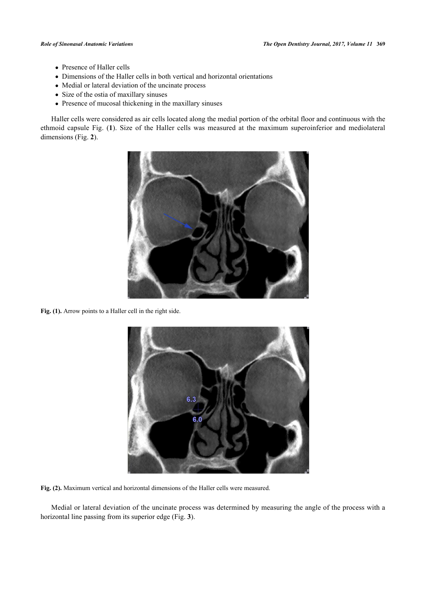- Presence of Haller cells
- Dimensions of the Haller cells in both vertical and horizontal orientations
- Medial or lateral deviation of the uncinate process
- Size of the ostia of maxillary sinuses
- Presence of mucosal thickening in the maxillary sinuses

Haller cells were considered as air cells located along the medial portion of the orbital floor and continuous with the ethmoid capsule Fig. (**[1](#page-2-0)**). Size of the Haller cells was measured at the maximum superoinferior and mediolateral dimensions (Fig. **[2](#page-2-1)**).

<span id="page-2-0"></span>

**Fig. (1).** Arrow points to a Haller cell in the right side.

<span id="page-2-1"></span>

**Fig. (2).** Maximum vertical and horizontal dimensions of the Haller cells were measured.

<span id="page-2-2"></span>Medial or lateral deviation of the uncinate process was determined by measuring the angle of the process with a horizontal line passing from its superior edge (Fig. **[3](#page-2-2)**).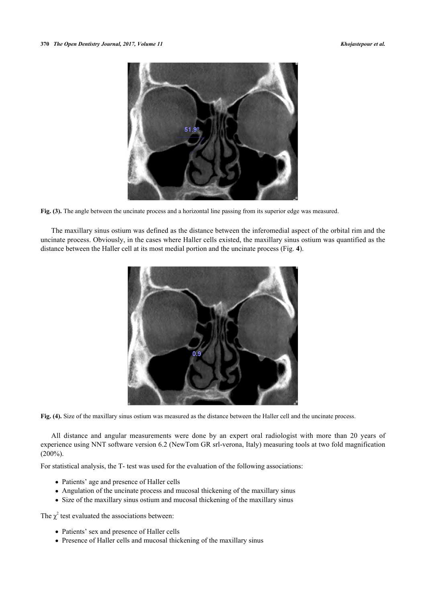

**Fig. (3).** The angle between the uncinate process and a horizontal line passing from its superior edge was measured.

<span id="page-3-0"></span>The maxillary sinus ostium was defined as the distance between the inferomedial aspect of the orbital rim and the uncinate process. Obviously, in the cases where Haller cells existed, the maxillary sinus ostium was quantified as the distance between the Haller cell at its most medial portion and the uncinate process (Fig. **[4](#page-3-0)**).



**Fig. (4).** Size of the maxillary sinus ostium was measured as the distance between the Haller cell and the uncinate process.

All distance and angular measurements were done by an expert oral radiologist with more than 20 years of experience using NNT software version 6.2 (NewTom GR srl-verona, Italy) measuring tools at two fold magnification  $(200\%)$ .

For statistical analysis, the T- test was used for the evaluation of the following associations:

- Patients' age and presence of Haller cells
- Angulation of the uncinate process and mucosal thickening of the maxillary sinus
- Size of the maxillary sinus ostium and mucosal thickening of the maxillary sinus

The  $\chi^2$  test evaluated the associations between:

- Patients' sex and presence of Haller cells
- Presence of Haller cells and mucosal thickening of the maxillary sinus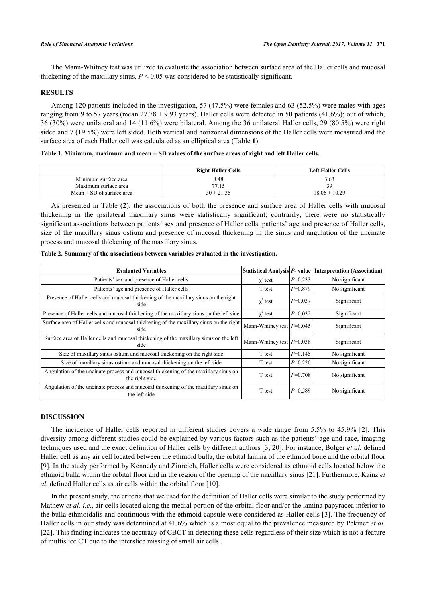The Mann-Whitney test was utilized to evaluate the association between surface area of the Haller cells and mucosal thickening of the maxillary sinus.  $P \le 0.05$  was considered to be statistically significant.

# **RESULTS**

Among 120 patients included in the investigation, 57 (47.5%) were females and 63 (52.5%) were males with ages ranging from 9 to 57 years (mean  $27.78 \pm 9.93$  years). Haller cells were detected in 50 patients (41.6%); out of which, 36 (30%) were unilateral and 14 (11.6%) were bilateral. Among the 36 unilateral Haller cells, 29 (80.5%) were right sided and 7 (19.5%) were left sided. Both vertical and horizontal dimensions of the Haller cells were measured and the surface area of each Haller cell was calculated as an elliptical area (Table **[1](#page-4-0)**).

#### <span id="page-4-0"></span>**Table 1. Minimum, maximum and mean ± SD values of the surface areas of right and left Haller cells.**

|                               | <b>Right Haller Cells</b> | <b>Left Haller Cells</b> |
|-------------------------------|---------------------------|--------------------------|
| Minimum surface area          | 8.48                      | 3.63                     |
| Maximum surface area          | 77.15                     | 39                       |
| Mean $\pm$ SD of surface area | $30 \pm 21.35$            | $18.06 \pm 10.29$        |

As presented in Table (**[2](#page-4-1)**), the associations of both the presence and surface area of Haller cells with mucosal thickening in the ipsilateral maxillary sinus were statistically significant; contrarily, there were no statistically significant associations between patients' sex and presence of Haller cells, patients' age and presence of Haller cells, size of the maxillary sinus ostium and presence of mucosal thickening in the sinus and angulation of the uncinate process and mucosal thickening of the maxillary sinus.

| <b>Evaluated Variables</b>                                                                            |                               |           | Statistical Analysis P- value Interpretation (Association) |  |
|-------------------------------------------------------------------------------------------------------|-------------------------------|-----------|------------------------------------------------------------|--|
| Patients' sex and presence of Haller cells                                                            | $\chi^2$ test                 | $P=0.233$ | No significant                                             |  |
| Patients' age and presence of Haller cells                                                            | T test                        | $P=0.879$ | No significant                                             |  |
| Presence of Haller cells and mucosal thickening of the maxillary sinus on the right<br>side           | $\chi^2$ test                 | $P=0.037$ | Significant                                                |  |
| Presence of Haller cells and mucosal thickening of the maxillary sinus on the left side               | $\chi^2$ test                 | $P=0.032$ | Significant                                                |  |
| Surface area of Haller cells and mucosal thickening of the maxillary sinus on the right<br>side       | Mann-Whitney test $ P=0.045 $ |           | Significant                                                |  |
| Surface area of Haller cells and mucosal thickening of the maxillary sinus on the left<br>side        | Mann-Whitney test $P=0.038$   |           | Significant                                                |  |
| Size of maxillary sinus ostium and mucosal thickening on the right side                               | T test                        | $P=0.145$ | No significant                                             |  |
| Size of maxillary sinus ostium and mucosal thickening on the left side                                | T test                        | $P=0.220$ | No significant                                             |  |
| Angulation of the uncinate process and mucosal thickening of the maxillary sinus on<br>the right side | T test                        | $P=0.708$ | No significant                                             |  |
| Angulation of the uncinate process and mucosal thickening of the maxillary sinus on<br>the left side  | T test                        | $P=0.589$ | No significant                                             |  |

<span id="page-4-1"></span>

|  | Table 2. Summary of the associations between variables evaluated in the investigation. |  |  |  |
|--|----------------------------------------------------------------------------------------|--|--|--|
|  |                                                                                        |  |  |  |

#### **DISCUSSION**

The incidence of Haller cells reported in different studies covers a wide range from 5.5% to 45.9% [\[2\]](#page-5-1). This diversity among different studies could be explained by various factors such as the patients' age and race, imaging techniques used and the exact definition of Haller cells by different authors [\[3](#page-5-2), [20\]](#page-6-10). For instance, Bolger *et al.* defined Haller cell as any air cell located between the ethmoid bulla, the orbital lamina of the ethmoid bone and the orbital floor [\[9](#page-6-1)]. In the study performed by Kennedy and Zinreich, Haller cells were considered as ethmoid cells located below the ethmoid bulla within the orbital floor and in the region of the opening of the maxillary sinus [[21\]](#page-6-11). Furthermore, Kainz *et al.* defined Haller cells as air cells within the orbital floor [[10\]](#page-6-12).

In the present study, the criteria that we used for the definition of Haller cells were similar to the study performed by Mathew *et al, i.e.*, air cells located along the medial portion of the orbital floor and/or the lamina papyracea inferior to the bulla ethmoidalis and continuous with the ethmoid capsule were considered as Haller cells [[3\]](#page-5-2). The frequency of Haller cells in our study was determined at 41.6% which is almost equal to the prevalence measured by Pekiner *et al,* [\[22](#page-6-13)]. This finding indicates the accuracy of CBCT in detecting these cells regardless of their size which is not a feature of multislice CT due to the interslice missing of small air cells .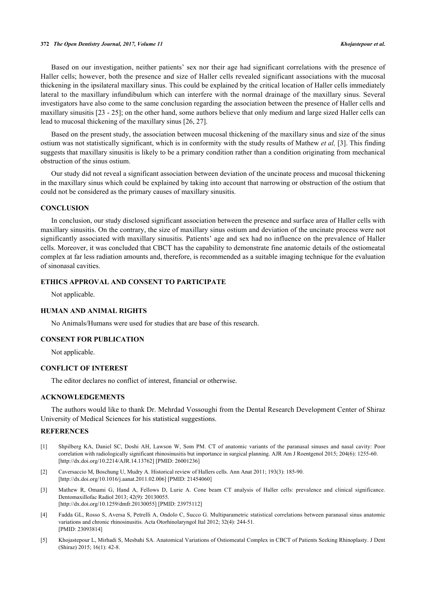Based on our investigation, neither patients' sex nor their age had significant correlations with the presence of Haller cells; however, both the presence and size of Haller cells revealed significant associations with the mucosal thickening in the ipsilateral maxillary sinus. This could be explained by the critical location of Haller cells immediately lateral to the maxillary infundibulum which can interfere with the normal drainage of the maxillary sinus. Several investigators have also come to the same conclusion regarding the association between the presence of Haller cells and maxillary sinusitis [\[23](#page-6-14) - [25\]](#page-6-15); on the other hand, some authors believe that only medium and large sized Haller cells can lead to mucosal thickening of the maxillary sinus [\[26](#page-6-16), [27](#page-7-0)].

Based on the present study, the association between mucosal thickening of the maxillary sinus and size of the sinus ostium was not statistically significant, which is in conformity with the study results of Mathew *et al,* [\[3](#page-5-2)]. This finding suggests that maxillary sinusitis is likely to be a primary condition rather than a condition originating from mechanical obstruction of the sinus ostium.

Our study did not reveal a significant association between deviation of the uncinate process and mucosal thickening in the maxillary sinus which could be explained by taking into account that narrowing or obstruction of the ostium that could not be considered as the primary causes of maxillary sinusitis.

## **CONCLUSION**

In conclusion, our study disclosed significant association between the presence and surface area of Haller cells with maxillary sinusitis. On the contrary, the size of maxillary sinus ostium and deviation of the uncinate process were not significantly associated with maxillary sinusitis. Patients' age and sex had no influence on the prevalence of Haller cells. Moreover, it was concluded that CBCT has the capability to demonstrate fine anatomic details of the ostiomeatal complex at far less radiation amounts and, therefore, is recommended as a suitable imaging technique for the evaluation of sinonasal cavities.

# **ETHICS APPROVAL AND CONSENT TO PARTICIPATE**

Not applicable.

## **HUMAN AND ANIMAL RIGHTS**

No Animals/Humans were used for studies that are base of this research.

## **CONSENT FOR PUBLICATION**

Not applicable.

# **CONFLICT OF INTEREST**

The editor declares no conflict of interest, financial or otherwise.

#### **ACKNOWLEDGEMENTS**

The authors would like to thank Dr. Mehrdad Vossoughi from the Dental Research Development Center of Shiraz University of Medical Sciences for his statistical suggestions.

#### **REFERENCES**

- <span id="page-5-0"></span>[1] Shpilberg KA, Daniel SC, Doshi AH, Lawson W, Som PM. CT of anatomic variants of the paranasal sinuses and nasal cavity: Poor correlation with radiologically significant rhinosinusitis but importance in surgical planning. AJR Am J Roentgenol 2015; 204(6): 1255-60. [\[http://dx.doi.org/10.2214/AJR.14.13762](http://dx.doi.org/10.2214/AJR.14.13762)] [PMID: [26001236\]](http://www.ncbi.nlm.nih.gov/pubmed/26001236)
- <span id="page-5-1"></span>[2] Caversaccio M, Boschung U, Mudry A. Historical review of Hallers cells. Ann Anat 2011; 193(3): 185-90. [\[http://dx.doi.org/10.1016/j.aanat.2011.02.006\]](http://dx.doi.org/10.1016/j.aanat.2011.02.006) [PMID: [21454060](http://www.ncbi.nlm.nih.gov/pubmed/21454060)]
- <span id="page-5-2"></span>[3] Mathew R, Omami G, Hand A, Fellows D, Lurie A. Cone beam CT analysis of Haller cells: prevalence and clinical significance. Dentomaxillofac Radiol 2013; 42(9): 20130055. [\[http://dx.doi.org/10.1259/dmfr.20130055](http://dx.doi.org/10.1259/dmfr.20130055)] [PMID: [23975112\]](http://www.ncbi.nlm.nih.gov/pubmed/23975112)
- [4] Fadda GL, Rosso S, Aversa S, Petrelli A, Ondolo C, Succo G. Multiparametric statistical correlations between paranasal sinus anatomic variations and chronic rhinosinusitis. Acta Otorhinolaryngol Ital 2012; 32(4): 244-51. [PMID: [23093814\]](http://www.ncbi.nlm.nih.gov/pubmed/23093814)
- [5] Khojastepour L, Mirhadi S, Mesbahi SA. Anatomical Variations of Ostiomeatal Complex in CBCT of Patients Seeking Rhinoplasty. J Dent (Shiraz) 2015; 16(1): 42-8.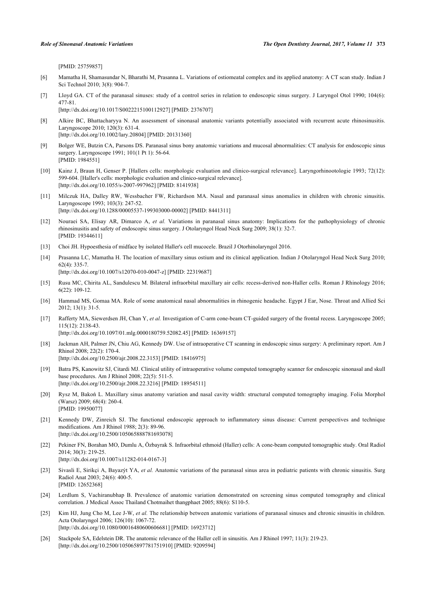[PMID: [25759857\]](http://www.ncbi.nlm.nih.gov/pubmed/25759857)

- [6] Mamatha H, Shamasundar N, Bharathi M, Prasanna L. Variations of ostiomeatal complex and its applied anatomy: A CT scan study. Indian J Sci Technol 2010; 3(8): 904-7.
- [7] Lloyd GA. CT of the paranasal sinuses: study of a control series in relation to endoscopic sinus surgery. J Laryngol Otol 1990; 104(6): 477-81.

[\[http://dx.doi.org/10.1017/S0022215100112927](http://dx.doi.org/10.1017/S0022215100112927)] [PMID: [2376707\]](http://www.ncbi.nlm.nih.gov/pubmed/2376707)

- <span id="page-6-0"></span>[8] Alkire BC, Bhattacharyya N. An assessment of sinonasal anatomic variants potentially associated with recurrent acute rhinosinusitis. Laryngoscope 2010; 120(3): 631-4. [\[http://dx.doi.org/10.1002/lary.20804](http://dx.doi.org/10.1002/lary.20804)] [PMID: [20131360\]](http://www.ncbi.nlm.nih.gov/pubmed/20131360)
- <span id="page-6-1"></span>[9] Bolger WE, Butzin CA, Parsons DS. Paranasal sinus bony anatomic variations and mucosal abnormalities: CT analysis for endoscopic sinus surgery. Laryngoscope 1991; 101(1 Pt 1): 56-64. [PMID: [1984551\]](http://www.ncbi.nlm.nih.gov/pubmed/1984551)
- <span id="page-6-12"></span>[10] Kainz J, Braun H, Genser P. [Hallers cells: morphologic evaluation and clinico-surgical relevance]. Laryngorhinootologie 1993; 72(12): 599-604. [Haller's cells: morphologic evaluation and clinico-surgical relevance]. [\[http://dx.doi.org/10.1055/s-2007-997962](http://dx.doi.org/10.1055/s-2007-997962)] [PMID: [8141938\]](http://www.ncbi.nlm.nih.gov/pubmed/8141938)
- <span id="page-6-2"></span>[11] Milczuk HA, Dalley RW, Wessbacher FW, Richardson MA. Nasal and paranasal sinus anomalies in children with chronic sinusitis. Laryngoscope 1993; 103(3): 247-52. [\[http://dx.doi.org/10.1288/00005537-199303000-00002](http://dx.doi.org/10.1288/00005537-199303000-00002)] [PMID: [8441311\]](http://www.ncbi.nlm.nih.gov/pubmed/8441311)
- <span id="page-6-3"></span>[12] Nouraei SA, Elisay AR, Dimarco A, *et al.* Variations in paranasal sinus anatomy: Implications for the pathophysiology of chronic rhinosinusitis and safety of endoscopic sinus surgery. J Otolaryngol Head Neck Surg 2009; 38(1): 32-7. [PMID: [19344611\]](http://www.ncbi.nlm.nih.gov/pubmed/19344611)
- <span id="page-6-4"></span>[13] Choi JH. Hypoesthesia of midface by isolated Haller's cell mucocele. Brazil J Otorhinolaryngol 2016.
- <span id="page-6-5"></span>[14] Prasanna LC, Mamatha H. The location of maxillary sinus ostium and its clinical application. Indian J Otolaryngol Head Neck Surg 2010; 62(4): 335-7. [\[http://dx.doi.org/10.1007/s12070-010-0047-z](http://dx.doi.org/10.1007/s12070-010-0047-z)] [PMID: [22319687](http://www.ncbi.nlm.nih.gov/pubmed/22319687)]
- <span id="page-6-6"></span>[15] Rusu MC, Chirita AL, Sandulescu M. Bilateral infraorbital maxillary air cells: recess-derived non-Haller cells. Roman J Rhinology 2016; 6(22): 109-12.
- <span id="page-6-7"></span>[16] Hammad MS, Gomaa MA. Role of some anatomical nasal abnormalities in rhinogenic headache. Egypt J Ear, Nose. Throat and Allied Sci 2012; 13(1): 31-5.
- <span id="page-6-8"></span>[17] Rafferty MA, Siewerdsen JH, Chan Y, *et al.* Investigation of C-arm cone-beam CT-guided surgery of the frontal recess. Laryngoscope 2005; 115(12): 2138-43. [\[http://dx.doi.org/10.1097/01.mlg.0000180759.52082.45](http://dx.doi.org/10.1097/01.mlg.0000180759.52082.45)] [PMID: [16369157\]](http://www.ncbi.nlm.nih.gov/pubmed/16369157)

- [18] Jackman AH, Palmer JN, Chiu AG, Kennedy DW. Use of intraoperative CT scanning in endoscopic sinus surgery: A preliminary report. Am J Rhinol 2008; 22(2): 170-4. [\[http://dx.doi.org/10.2500/ajr.2008.22.3153](http://dx.doi.org/10.2500/ajr.2008.22.3153)] [PMID: [18416975\]](http://www.ncbi.nlm.nih.gov/pubmed/18416975)
- <span id="page-6-9"></span>[19] Batra PS, Kanowitz SJ, Citardi MJ. Clinical utility of intraoperative volume computed tomography scanner for endoscopic sinonasal and skull base procedures. Am J Rhinol 2008; 22(5): 511-5. [\[http://dx.doi.org/10.2500/ajr.2008.22.3216](http://dx.doi.org/10.2500/ajr.2008.22.3216)] [PMID: [18954511\]](http://www.ncbi.nlm.nih.gov/pubmed/18954511)
- <span id="page-6-10"></span>[20] Rysz M, Bakoń L. Maxillary sinus anatomy variation and nasal cavity width: structural computed tomography imaging. Folia Morphol (Warsz) 2009; 68(4): 260-4. [PMID: [19950077\]](http://www.ncbi.nlm.nih.gov/pubmed/19950077)
- <span id="page-6-11"></span>[21] Kennedy DW, Zinreich SJ. The functional endoscopic approach to inflammatory sinus disease: Current perspectives and technique modifications. Am J Rhinol 1988; 2(3): 89-96. [\[http://dx.doi.org/10.2500/105065888781693078\]](http://dx.doi.org/10.2500/105065888781693078)
- <span id="page-6-13"></span>[22] Pekiner FN, Borahan MO, Dumlu A, Özbayrak S. Infraorbital ethmoid (Haller) cells: A cone-beam computed tomographic study. Oral Radiol 2014; 30(3): 219-25. [\[http://dx.doi.org/10.1007/s11282-014-0167-3\]](http://dx.doi.org/10.1007/s11282-014-0167-3)
- <span id="page-6-14"></span>[23] Sivasli E, Sirikçi A, Bayazýt YA, *et al.* Anatomic variations of the paranasal sinus area in pediatric patients with chronic sinusitis. Surg Radiol Anat 2003; 24(6): 400-5. [PMID: [12652368\]](http://www.ncbi.nlm.nih.gov/pubmed/12652368)
- [24] Lerdlum S, Vachiranubhap B. Prevalence of anatomic variation demonstrated on screening sinus computed tomography and clinical correlation. J Medical Assoc Thailand Chotmaihet thangphaet 2005; 88(6): S110-5.
- <span id="page-6-15"></span>[25] Kim HJ, Jung Cho M, Lee J-W, *et al.* The relationship between anatomic variations of paranasal sinuses and chronic sinusitis in children. Acta Otolaryngol 2006; 126(10): 1067-72. [\[http://dx.doi.org/10.1080/00016480600606681\]](http://dx.doi.org/10.1080/00016480600606681) [PMID: [16923712](http://www.ncbi.nlm.nih.gov/pubmed/16923712)]
- <span id="page-6-16"></span>[26] Stackpole SA, Edelstein DR. The anatomic relevance of the Haller cell in sinusitis. Am J Rhinol 1997; 11(3): 219-23. [\[http://dx.doi.org/10.2500/105065897781751910\]](http://dx.doi.org/10.2500/105065897781751910) [PMID: [9209594](http://www.ncbi.nlm.nih.gov/pubmed/9209594)]